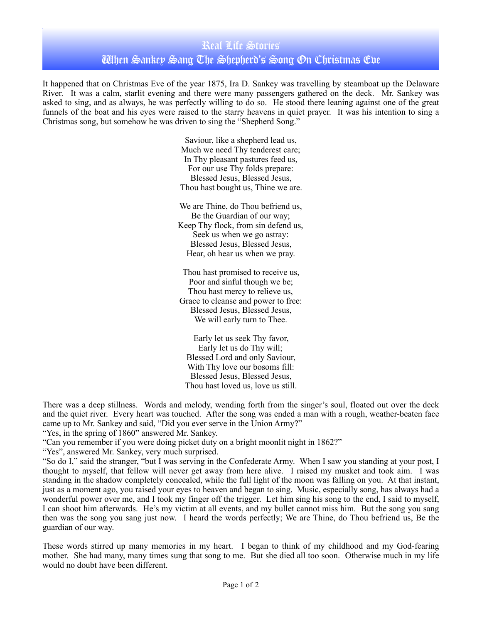## Real Life Stories When Sankey Sang The Shepherd's Song On Christmas Eve

It happened that on Christmas Eve of the year 1875, Ira D. Sankey was travelling by steamboat up the Delaware River. It was a calm, starlit evening and there were many passengers gathered on the deck. Mr. Sankey was asked to sing, and as always, he was perfectly willing to do so. He stood there leaning against one of the great funnels of the boat and his eyes were raised to the starry heavens in quiet prayer. It was his intention to sing a Christmas song, but somehow he was driven to sing the "Shepherd Song."

> Saviour, like a shepherd lead us, Much we need Thy tenderest care; In Thy pleasant pastures feed us, For our use Thy folds prepare: Blessed Jesus, Blessed Jesus, Thou hast bought us, Thine we are.

> We are Thine, do Thou befriend us, Be the Guardian of our way; Keep Thy flock, from sin defend us, Seek us when we go astray: Blessed Jesus, Blessed Jesus, Hear, oh hear us when we pray.

> Thou hast promised to receive us, Poor and sinful though we be; Thou hast mercy to relieve us, Grace to cleanse and power to free: Blessed Jesus, Blessed Jesus, We will early turn to Thee.

Early let us seek Thy favor, Early let us do Thy will; Blessed Lord and only Saviour, With Thy love our bosoms fill: Blessed Jesus, Blessed Jesus, Thou hast loved us, love us still.

There was a deep stillness. Words and melody, wending forth from the singer's soul, floated out over the deck and the quiet river. Every heart was touched. After the song was ended a man with a rough, weather-beaten face came up to Mr. Sankey and said, "Did you ever serve in the Union Army?"

"Yes, in the spring of 1860" answered Mr. Sankey.

"Can you remember if you were doing picket duty on a bright moonlit night in 1862?"

"Yes", answered Mr. Sankey, very much surprised.

"So do I," said the stranger, "but I was serving in the Confederate Army. When I saw you standing at your post, I thought to myself, that fellow will never get away from here alive. I raised my musket and took aim. I was standing in the shadow completely concealed, while the full light of the moon was falling on you. At that instant, just as a moment ago, you raised your eyes to heaven and began to sing. Music, especially song, has always had a wonderful power over me, and I took my finger off the trigger. Let him sing his song to the end, I said to myself, I can shoot him afterwards. He's my victim at all events, and my bullet cannot miss him. But the song you sang then was the song you sang just now. I heard the words perfectly; We are Thine, do Thou befriend us, Be the guardian of our way.

These words stirred up many memories in my heart. I began to think of my childhood and my God-fearing mother. She had many, many times sung that song to me. But she died all too soon. Otherwise much in my life would no doubt have been different.